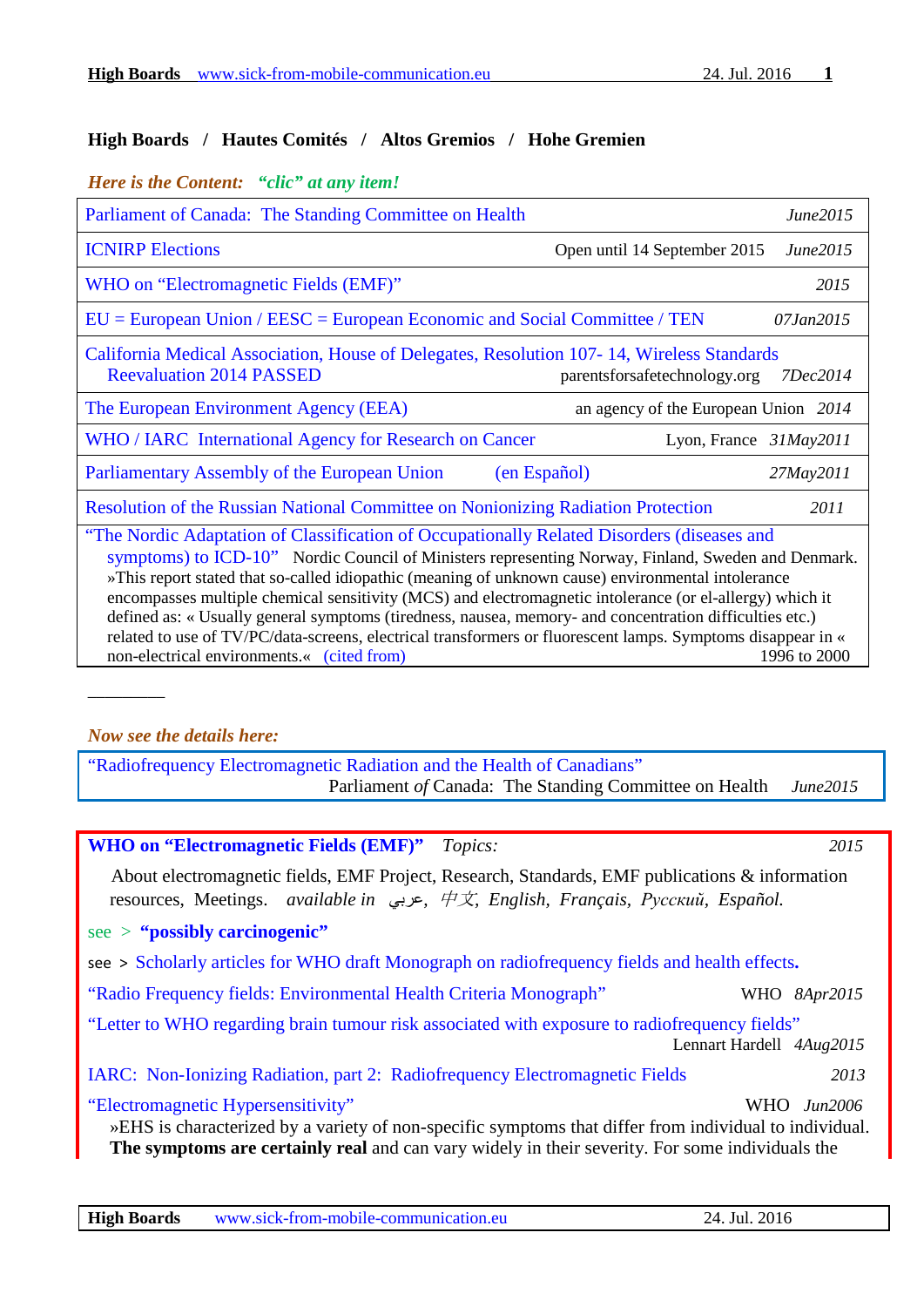## **High Boards / Hautes Comités / Altos Gremios / Hohe Gremien**

## *Here is the Content: "clic" at any item!*

| Parliament of Canada: The Standing Committee on Health                                                                                                                                                                                                                                                                                                                                                                                                                                                                                                                                                                                                                                                     | June2015                                        |  |  |  |
|------------------------------------------------------------------------------------------------------------------------------------------------------------------------------------------------------------------------------------------------------------------------------------------------------------------------------------------------------------------------------------------------------------------------------------------------------------------------------------------------------------------------------------------------------------------------------------------------------------------------------------------------------------------------------------------------------------|-------------------------------------------------|--|--|--|
| <b>ICNIRP Elections</b>                                                                                                                                                                                                                                                                                                                                                                                                                                                                                                                                                                                                                                                                                    | Open until 14 September 2015<br><b>June2015</b> |  |  |  |
| WHO on "Electromagnetic Fields (EMF)"                                                                                                                                                                                                                                                                                                                                                                                                                                                                                                                                                                                                                                                                      | 2015                                            |  |  |  |
| $EU = European Union / EESC = European Economic and Social Committee / TEN$<br>07Jan2015                                                                                                                                                                                                                                                                                                                                                                                                                                                                                                                                                                                                                   |                                                 |  |  |  |
| California Medical Association, House of Delegates, Resolution 107-14, Wireless Standards<br><b>Reevaluation 2014 PASSED</b><br>parentsforsafetechnology.org<br>7Dec2014                                                                                                                                                                                                                                                                                                                                                                                                                                                                                                                                   |                                                 |  |  |  |
| The European Environment Agency (EEA)                                                                                                                                                                                                                                                                                                                                                                                                                                                                                                                                                                                                                                                                      | an agency of the European Union 2014            |  |  |  |
| WHO / IARC International Agency for Research on Cancer                                                                                                                                                                                                                                                                                                                                                                                                                                                                                                                                                                                                                                                     | Lyon, France 31May2011                          |  |  |  |
| <b>Parliamentary Assembly of the European Union</b>                                                                                                                                                                                                                                                                                                                                                                                                                                                                                                                                                                                                                                                        | (en Español)<br>27May2011                       |  |  |  |
| <b>Resolution of the Russian National Committee on Nonionizing Radiation Protection</b><br>2011                                                                                                                                                                                                                                                                                                                                                                                                                                                                                                                                                                                                            |                                                 |  |  |  |
| "The Nordic Adaptation of Classification of Occupationally Related Disorders (diseases and<br>symptoms) to ICD-10" Nordic Council of Ministers representing Norway, Finland, Sweden and Denmark.<br>»This report stated that so-called idiopathic (meaning of unknown cause) environmental intolerance<br>encompasses multiple chemical sensitivity (MCS) and electromagnetic intolerance (or el-allergy) which it<br>defined as: « Usually general symptoms (tiredness, nausea, memory- and concentration difficulties etc.)<br>related to use of TV/PC/data-screens, electrical transformers or fluorescent lamps. Symptoms disappear in «<br>1996 to 2000<br>non-electrical environments.« (cited from) |                                                 |  |  |  |

## *Now see the details here:*

–––––––––

<span id="page-0-0"></span>["Radiofrequency Electromagnetic Radiation and the Health of Canadians"](http://www.parl.gc.ca/HousePublications/Publication.aspx?DocId=8041315&Language=E&Mode=1&Parl=41&Ses=2&File=18) Parliament *of* Canada: The Standing Committee on Health *June2015*

<span id="page-0-1"></span>

| <b>WHO on "Electromagnetic Fields (EMF)"</b><br><i>Topics:</i>                                                                                                                                                                                                    | 2015         |  |  |  |
|-------------------------------------------------------------------------------------------------------------------------------------------------------------------------------------------------------------------------------------------------------------------|--------------|--|--|--|
| About electromagnetic fields, EMF Project, Research, Standards, EMF publications & information<br>resources, Meetings. available in عربی, $\# \nsubseteq$ , English, Français, Pyccκιιά, Español.                                                                 |              |  |  |  |
| $\sec$ > "possibly carcinogenic"                                                                                                                                                                                                                                  |              |  |  |  |
| see > Scholarly articles for WHO draft Monograph on radiofrequency fields and health effects.                                                                                                                                                                     |              |  |  |  |
| "Radio Frequency fields: Environmental Health Criteria Monograph"                                                                                                                                                                                                 | WHO 8Apr2015 |  |  |  |
| "Letter to WHO regarding brain tumour risk associated with exposure to radiofrequency fields"<br>Lennart Hardell 4Aug2015                                                                                                                                         |              |  |  |  |
| IARC: Non-Ionizing Radiation, part 2: Radiofrequency Electromagnetic Fields                                                                                                                                                                                       | 2013         |  |  |  |
| "Electromagnetic Hypersensitivity"<br>WHO<br>Jun2006<br>»EHS is characterized by a variety of non-specific symptoms that differ from individual to individual.<br>The symptoms are certainly real and can vary widely in their severity. For some individuals the |              |  |  |  |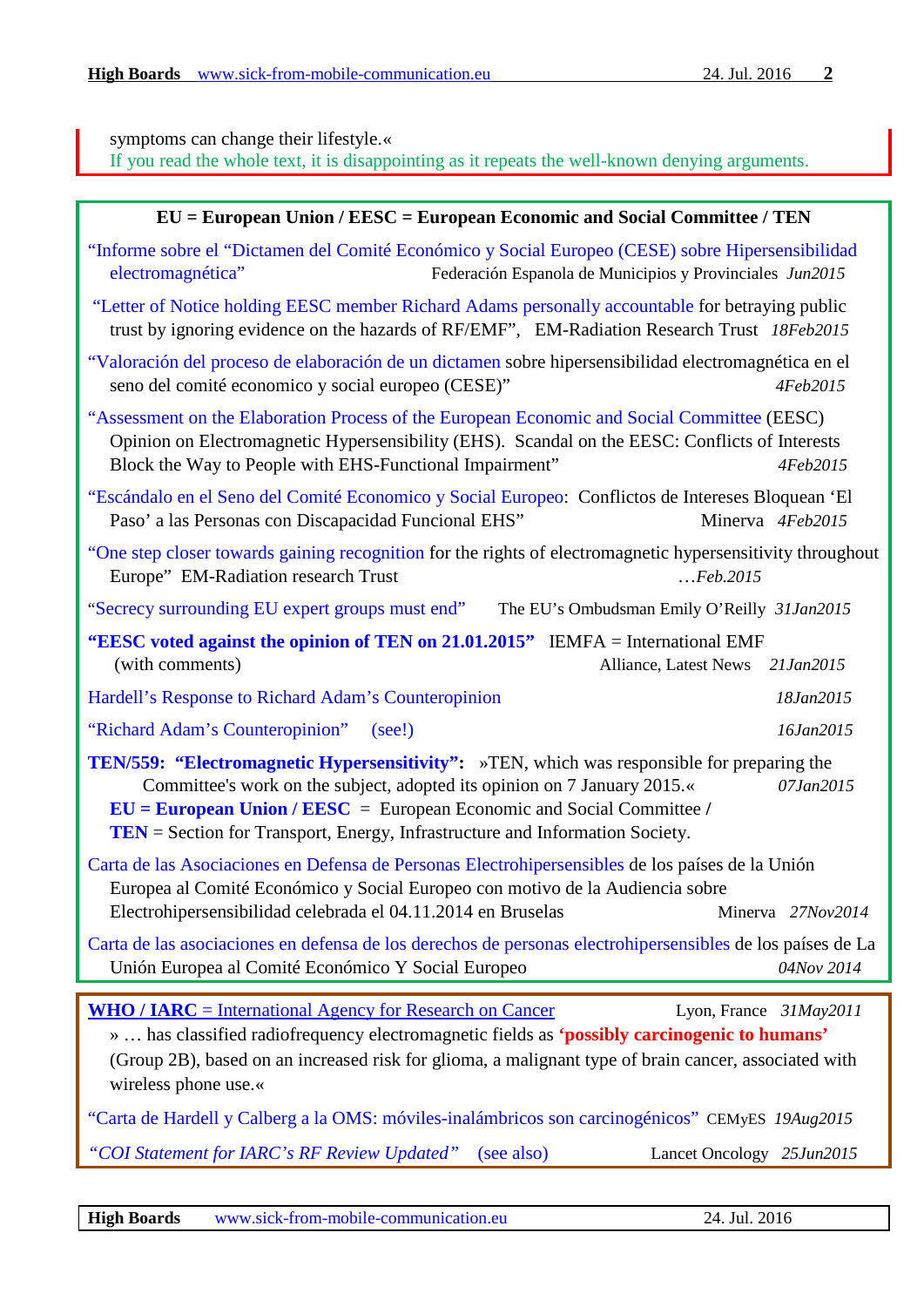symptoms can change their lifestyle.«

If you read the whole text, it is [disappointing](https://dict.leo.org/ende/index_en.html#/search=disappointing&searchLoc=0&resultOrder=basic&multiwordShowSingle=on) as it repeats the well-known denying arguments.

<span id="page-1-1"></span><span id="page-1-0"></span>

| $EU = European Union / EESC = European Economic and Social Committee / TEN$                                                                                                                                                                                                                                                                                  |  |  |  |  |
|--------------------------------------------------------------------------------------------------------------------------------------------------------------------------------------------------------------------------------------------------------------------------------------------------------------------------------------------------------------|--|--|--|--|
| "Informe sobre el "Dictamen del Comité Económico y Social Europeo (CESE) sobre Hipersensibilidad<br>electromagnética"<br>Federación Espanola de Municipios y Provinciales Jun2015                                                                                                                                                                            |  |  |  |  |
| "Letter of Notice holding EESC member Richard Adams personally accountable for betraying public<br>trust by ignoring evidence on the hazards of RF/EMF", EM-Radiation Research Trust 18Feb2015                                                                                                                                                               |  |  |  |  |
| "Valoración del proceso de elaboración de un dictamen sobre hipersensibilidad electromagnética en el<br>seno del comité economico y social europeo (CESE)"<br>4Feb2015                                                                                                                                                                                       |  |  |  |  |
| "Assessment on the Elaboration Process of the European Economic and Social Committee (EESC)<br>Opinion on Electromagnetic Hypersensibility (EHS). Scandal on the EESC: Conflicts of Interests<br>Block the Way to People with EHS-Functional Impairment"<br>4Feb2015                                                                                         |  |  |  |  |
| "Escándalo en el Seno del Comité Economico y Social Europeo: Conflictos de Intereses Bloquean 'El<br>Paso' a las Personas con Discapacidad Funcional EHS"<br>Minerva 4Feb2015                                                                                                                                                                                |  |  |  |  |
| "One step closer towards gaining recognition for the rights of electromagnetic hypersensitivity throughout<br>Europe" EM-Radiation research Trust<br>Feb. 2015                                                                                                                                                                                               |  |  |  |  |
| "Secrecy surrounding EU expert groups must end" The EU's Ombudsman Emily O'Reilly 31Jan2015                                                                                                                                                                                                                                                                  |  |  |  |  |
| "EESC voted against the opinion of TEN on $21.01.2015$ " IEMFA = International EMF<br>(with comments)<br>Alliance, Latest News<br>21Jan2015                                                                                                                                                                                                                  |  |  |  |  |
| Hardell's Response to Richard Adam's Counteropinion<br>18Jan2015                                                                                                                                                                                                                                                                                             |  |  |  |  |
| "Richard Adam's Counteropinion"<br>16Jan2015<br>(see!)                                                                                                                                                                                                                                                                                                       |  |  |  |  |
| <b>TEN/559: "Electromagnetic Hypersensitivity":</b> »TEN, which was responsible for preparing the<br>Committee's work on the subject, adopted its opinion on 7 January 2015.«<br>07Jan2015<br>$EU = European Union / EESC = European Economic and Social Committee /$<br><b>TEN</b> = Section for Transport, Energy, Infrastructure and Information Society. |  |  |  |  |
| Carta de las Asociaciones en Defensa de Personas Electrohipersensibles de los países de la Unión<br>Europea al Comité Económico y Social Europeo con motivo de la Audiencia sobre<br>Electrohipersensibilidad celebrada el 04.11.2014 en Bruselas<br>Minerva 27Nov2014                                                                                       |  |  |  |  |
| Carta de las asociaciones en defensa de los derechos de personas electrohipersensibles de los países de La<br>Unión Europea al Comité Económico Y Social Europeo<br>04Nov 2014                                                                                                                                                                               |  |  |  |  |
| $WHO / IARC = International Agency for Research on Cancer$<br>Lyon, France 31May2011<br>»  has classified radiofrequency electromagnetic fields as 'possibly carcinogenic to humans'<br>(Group 2B), based on an increased risk for glioma, a malignant type of brain cancer, associated with<br>wireless phone use.«                                         |  |  |  |  |
| "Carta de Hardell y Calberg a la OMS: móviles-inalámbricos son carcinogénicos" CEMyES 19Aug2015                                                                                                                                                                                                                                                              |  |  |  |  |
| "COI Statement for IARC's RF Review Updated"<br>(see also)<br>Lancet Oncology 25Jun2015                                                                                                                                                                                                                                                                      |  |  |  |  |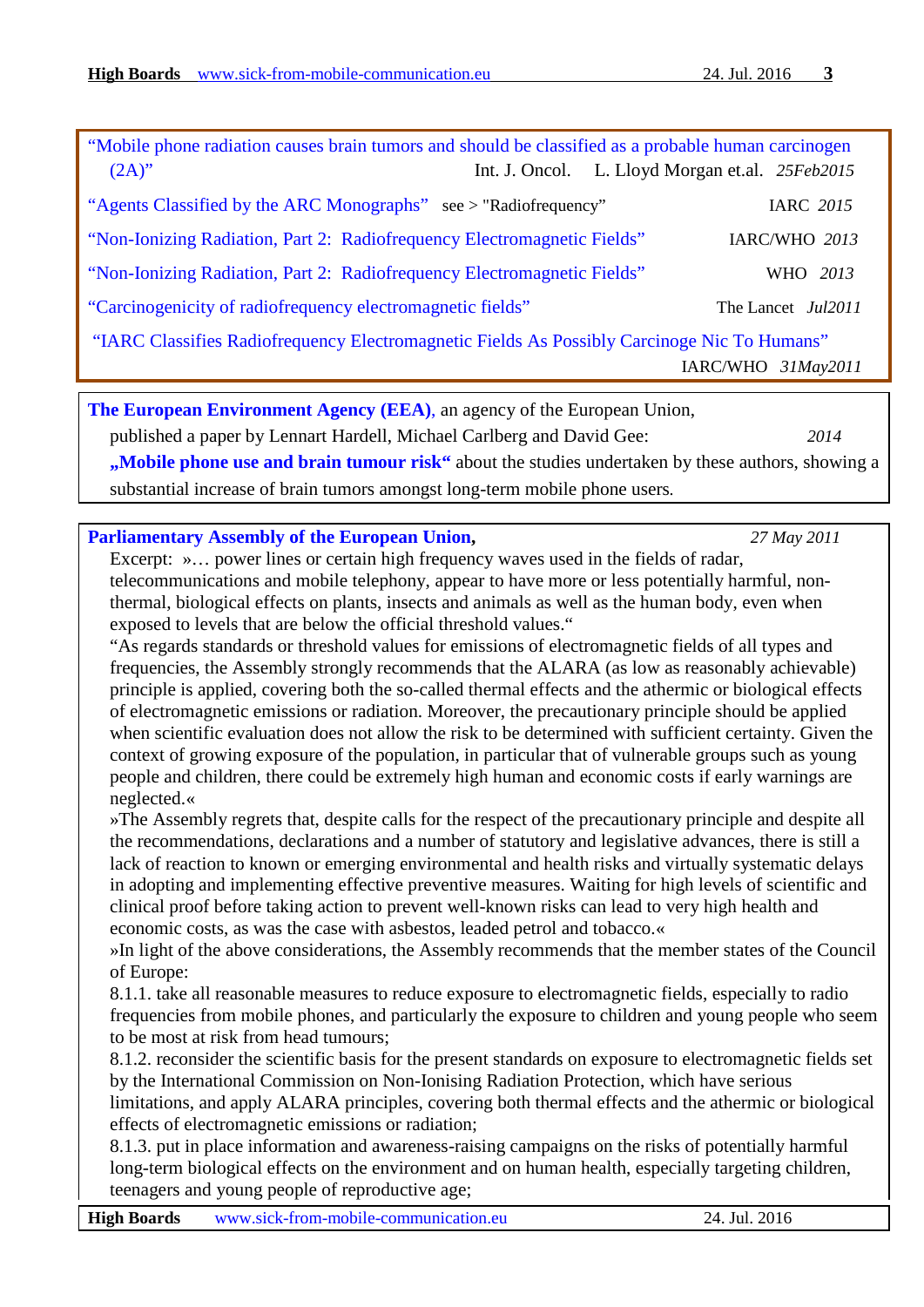| "Mobile phone radiation causes brain tumors and should be classified as a probable human carcinogen<br>$(2A)$ "<br>Int. J. Oncol. L. Lloyd Morgan et.al. 25Feb2015 |  |                    |                  |  |  |
|--------------------------------------------------------------------------------------------------------------------------------------------------------------------|--|--------------------|------------------|--|--|
| "Agents Classified by the ARC Monographs" see > "Radiofrequency"                                                                                                   |  |                    | <b>IARC 2015</b> |  |  |
| "Non-Ionizing Radiation, Part 2: Radiofrequency Electromagnetic Fields"                                                                                            |  |                    | IARC/WHO 2013    |  |  |
| "Non-Ionizing Radiation, Part 2: Radiofrequency Electromagnetic Fields"                                                                                            |  |                    | WHO 2013         |  |  |
| "Carcinogenicity of radiofrequency electromagnetic fields"                                                                                                         |  | The Lancet Jul2011 |                  |  |  |
| "IARC Classifies Radiofrequency Electromagnetic Fields As Possibly Carcinoge Nic To Humans"<br>IARC/WHO 31May2011                                                  |  |                    |                  |  |  |
| <b>The European Environment Agency (EEA), an agency of the European Union,</b>                                                                                     |  |                    |                  |  |  |
| published a paper by Lennart Hardell, Michael Carlberg and David Gee:                                                                                              |  |                    | 2014             |  |  |
| "Mobile phone use and brain tumour risk" about the studies undertaken by these authors, showing a                                                                  |  |                    |                  |  |  |
| substantial increase of brain tumors amongst long-term mobile phone users.                                                                                         |  |                    |                  |  |  |
|                                                                                                                                                                    |  |                    |                  |  |  |

<span id="page-2-1"></span><span id="page-2-0"></span>**[Parliamentary Assembly of the European Union,](http://assembly.coe.int/Mainf.asp?link=/Documents/AdoptedText/ta11/ERES1815.htm)** *27 May 2011*

Excerpt: »… power lines or certain high frequency waves used in the fields of radar, telecommunications and mobile telephony, appear to have more or less potentially harmful, nonthermal, biological effects on plants, insects and animals as well as the human body, even when exposed to levels that are below the official threshold values."

"As regards standards or threshold values for emissions of electromagnetic fields of all types and frequencies, the Assembly strongly recommends that the ALARA (as low as reasonably achievable) principle is applied, covering both the so-called thermal effects and the athermic or biological effects of electromagnetic emissions or radiation. Moreover, the precautionary principle should be applied when scientific evaluation does not allow the risk to be determined with sufficient certainty. Given the context of growing exposure of the population, in particular that of vulnerable groups such as young people and children, there could be extremely high human and economic costs if early warnings are neglected.«

»The Assembly regrets that, despite calls for the respect of the precautionary principle and despite all the recommendations, declarations and a number of statutory and legislative advances, there is still a lack of reaction to known or emerging environmental and health risks and virtually systematic delays in adopting and implementing effective preventive measures. Waiting for high levels of scientific and clinical proof before taking action to prevent well-known risks can lead to very high health and economic costs, as was the case with asbestos, leaded petrol and tobacco.«

»In light of the above considerations, the Assembly recommends that the member states of the Council of Europe:

8.1.1. take all reasonable measures to reduce exposure to electromagnetic fields, especially to radio frequencies from mobile phones, and particularly the exposure to children and young people who seem to be most at risk from head tumours;

8.1.2. reconsider the scientific basis for the present standards on exposure to electromagnetic fields set by the International Commission on Non-Ionising Radiation Protection, which have serious limitations, and apply ALARA principles, covering both thermal effects and the athermic or biological

effects of electromagnetic emissions or radiation;

8.1.3. put in place information and awareness-raising campaigns on the risks of potentially harmful long-term biological effects on the environment and on human health, especially targeting children, teenagers and young people of reproductive age;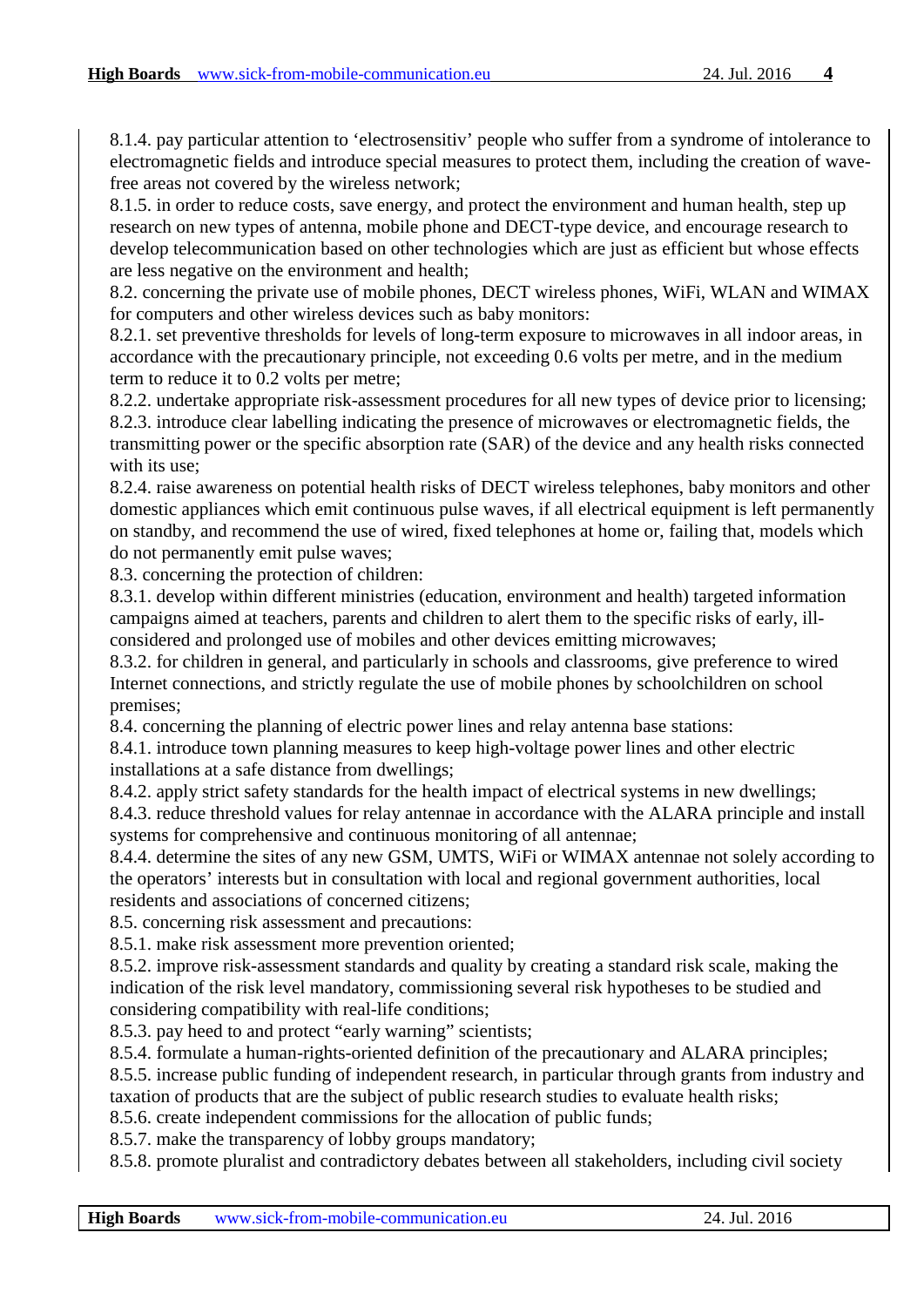8.1.4. pay particular attention to 'electrosensitiv' people who suffer from a syndrome of intolerance to electromagnetic fields and introduce special measures to protect them, including the creation of wavefree areas not covered by the wireless network;

8.1.5. in order to reduce costs, save energy, and protect the environment and human health, step up research on new types of antenna, mobile phone and DECT-type device, and encourage research to develop telecommunication based on other technologies which are just as efficient but whose effects are less negative on the environment and health;

8.2. concerning the private use of mobile phones, DECT wireless phones, WiFi, WLAN and WIMAX for computers and other wireless devices such as baby monitors:

8.2.1. set preventive thresholds for levels of long-term exposure to microwaves in all indoor areas, in accordance with the precautionary principle, not exceeding 0.6 volts per metre, and in the medium term to reduce it to 0.2 volts per metre;

8.2.2. undertake appropriate risk-assessment procedures for all new types of device prior to licensing; 8.2.3. introduce clear labelling indicating the presence of microwaves or electromagnetic fields, the transmitting power or the specific absorption rate (SAR) of the device and any health risks connected with its use;

8.2.4. raise awareness on potential health risks of DECT wireless telephones, baby monitors and other domestic appliances which emit continuous pulse waves, if all electrical equipment is left permanently on standby, and recommend the use of wired, fixed telephones at home or, failing that, models which do not permanently emit pulse waves;

8.3. concerning the protection of children:

8.3.1. develop within different ministries (education, environment and health) targeted information campaigns aimed at teachers, parents and children to alert them to the specific risks of early, illconsidered and prolonged use of mobiles and other devices emitting microwaves;

8.3.2. for children in general, and particularly in schools and classrooms, give preference to wired Internet connections, and strictly regulate the use of mobile phones by schoolchildren on school premises;

8.4. concerning the planning of electric power lines and relay antenna base stations:

8.4.1. introduce town planning measures to keep high-voltage power lines and other electric installations at a safe distance from dwellings;

8.4.2. apply strict safety standards for the health impact of electrical systems in new dwellings;

8.4.3. reduce threshold values for relay antennae in accordance with the ALARA principle and install systems for comprehensive and continuous monitoring of all antennae;

8.4.4. determine the sites of any new GSM, UMTS, WiFi or WIMAX antennae not solely according to the operators' interests but in consultation with local and regional government authorities, local residents and associations of concerned citizens;

8.5. concerning risk assessment and precautions:

8.5.1. make risk assessment more prevention oriented;

8.5.2. improve risk-assessment standards and quality by creating a standard risk scale, making the indication of the risk level mandatory, commissioning several risk hypotheses to be studied and considering compatibility with real-life conditions;

8.5.3. pay heed to and protect "early warning" scientists;

8.5.4. formulate a human-rights-oriented definition of the precautionary and ALARA principles;

8.5.5. increase public funding of independent research, in particular through grants from industry and taxation of products that are the subject of public research studies to evaluate health risks;

8.5.6. create independent commissions for the allocation of public funds;

8.5.7. make the transparency of lobby groups mandatory;

8.5.8. promote pluralist and contradictory debates between all stakeholders, including civil society